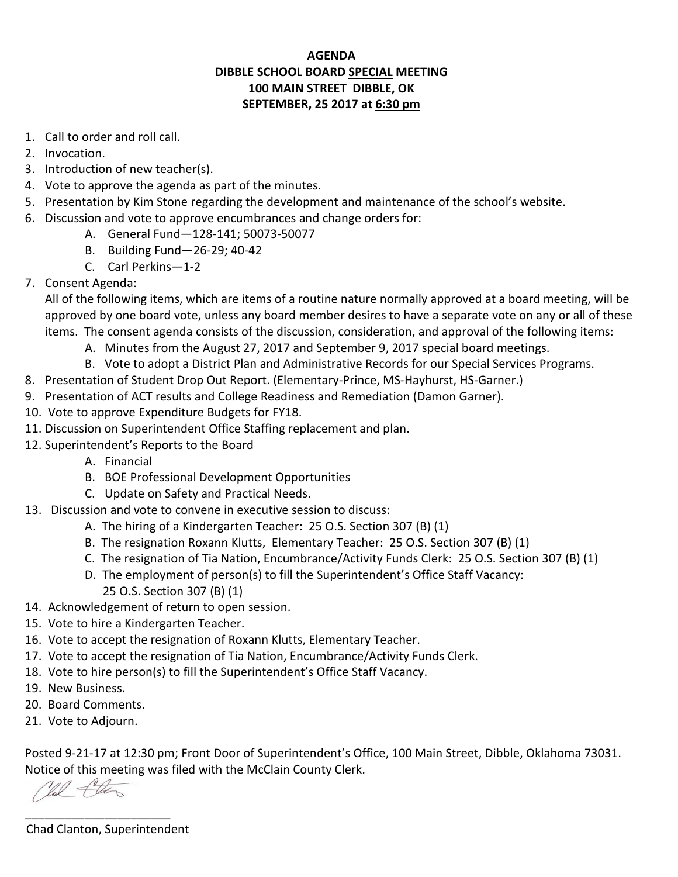## **AGENDA DIBBLE SCHOOL BOARD SPECIAL MEETING 100 MAIN STREET DIBBLE, OK SEPTEMBER, 25 2017 at 6:30 pm**

- 1. Call to order and roll call.
- 2. Invocation.
- 3. Introduction of new teacher(s).
- 4. Vote to approve the agenda as part of the minutes.
- 5. Presentation by Kim Stone regarding the development and maintenance of the school's website.
- 6. Discussion and vote to approve encumbrances and change orders for:
	- A. General Fund—128-141; 50073-50077
	- B. Building Fund—26-29; 40-42
	- C. Carl Perkins—1-2
- 7. Consent Agenda:

 All of the following items, which are items of a routine nature normally approved at a board meeting, will be approved by one board vote, unless any board member desires to have a separate vote on any or all of these items. The consent agenda consists of the discussion, consideration, and approval of the following items:

- A. Minutes from the August 27, 2017 and September 9, 2017 special board meetings.
- B. Vote to adopt a District Plan and Administrative Records for our Special Services Programs.
- 8. Presentation of Student Drop Out Report. (Elementary-Prince, MS-Hayhurst, HS-Garner.)
- 9. Presentation of ACT results and College Readiness and Remediation (Damon Garner).
- 10. Vote to approve Expenditure Budgets for FY18.
- 11. Discussion on Superintendent Office Staffing replacement and plan.
- 12. Superintendent's Reports to the Board
	- A. Financial
	- B. BOE Professional Development Opportunities
	- C. Update on Safety and Practical Needs.
- 13. Discussion and vote to convene in executive session to discuss:
	- A. The hiring of a Kindergarten Teacher: 25 O.S. Section 307 (B) (1)
	- B. The resignation Roxann Klutts, Elementary Teacher: 25 O.S. Section 307 (B) (1)
	- C. The resignation of Tia Nation, Encumbrance/Activity Funds Clerk: 25 O.S. Section 307 (B) (1)
	- D. The employment of person(s) to fill the Superintendent's Office Staff Vacancy:
		- 25 O.S. Section 307 (B) (1)
- 14. Acknowledgement of return to open session.
- 15. Vote to hire a Kindergarten Teacher.
- 16. Vote to accept the resignation of Roxann Klutts, Elementary Teacher.
- 17. Vote to accept the resignation of Tia Nation, Encumbrance/Activity Funds Clerk.
- 18. Vote to hire person(s) to fill the Superintendent's Office Staff Vacancy.
- 19. New Business.
- 20. Board Comments.
- 21. Vote to Adjourn.

Posted 9-21-17 at 12:30 pm; Front Door of Superintendent's Office, 100 Main Street, Dibble, Oklahoma 73031. Notice of this meeting was filed with the McClain County Clerk.

Mil the

Chad Clanton, Superintendent

\_\_\_\_\_\_\_\_\_\_\_\_\_\_\_\_\_\_\_\_\_\_